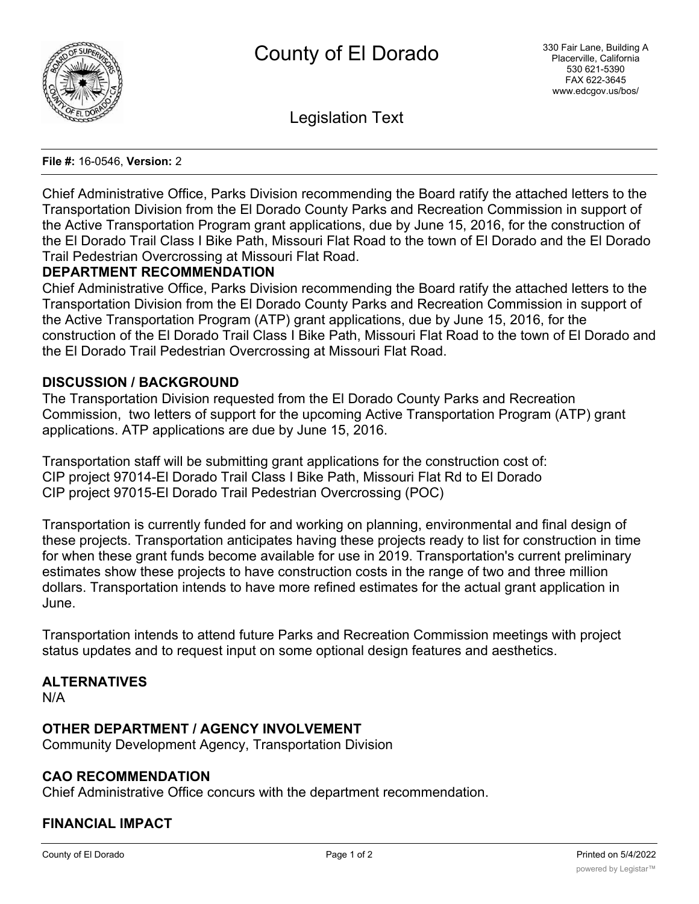

Legislation Text

#### **File #:** 16-0546, **Version:** 2

Chief Administrative Office, Parks Division recommending the Board ratify the attached letters to the Transportation Division from the El Dorado County Parks and Recreation Commission in support of the Active Transportation Program grant applications, due by June 15, 2016, for the construction of the El Dorado Trail Class I Bike Path, Missouri Flat Road to the town of El Dorado and the El Dorado Trail Pedestrian Overcrossing at Missouri Flat Road.

### **DEPARTMENT RECOMMENDATION**

Chief Administrative Office, Parks Division recommending the Board ratify the attached letters to the Transportation Division from the El Dorado County Parks and Recreation Commission in support of the Active Transportation Program (ATP) grant applications, due by June 15, 2016, for the construction of the El Dorado Trail Class I Bike Path, Missouri Flat Road to the town of El Dorado and the El Dorado Trail Pedestrian Overcrossing at Missouri Flat Road.

### **DISCUSSION / BACKGROUND**

The Transportation Division requested from the El Dorado County Parks and Recreation Commission, two letters of support for the upcoming Active Transportation Program (ATP) grant applications. ATP applications are due by June 15, 2016.

Transportation staff will be submitting grant applications for the construction cost of: CIP project 97014-El Dorado Trail Class I Bike Path, Missouri Flat Rd to El Dorado CIP project 97015-El Dorado Trail Pedestrian Overcrossing (POC)

Transportation is currently funded for and working on planning, environmental and final design of these projects. Transportation anticipates having these projects ready to list for construction in time for when these grant funds become available for use in 2019. Transportation's current preliminary estimates show these projects to have construction costs in the range of two and three million dollars. Transportation intends to have more refined estimates for the actual grant application in June.

Transportation intends to attend future Parks and Recreation Commission meetings with project status updates and to request input on some optional design features and aesthetics.

### **ALTERNATIVES**

N/A

# **OTHER DEPARTMENT / AGENCY INVOLVEMENT**

Community Development Agency, Transportation Division

# **CAO RECOMMENDATION**

Chief Administrative Office concurs with the department recommendation.

# **FINANCIAL IMPACT**